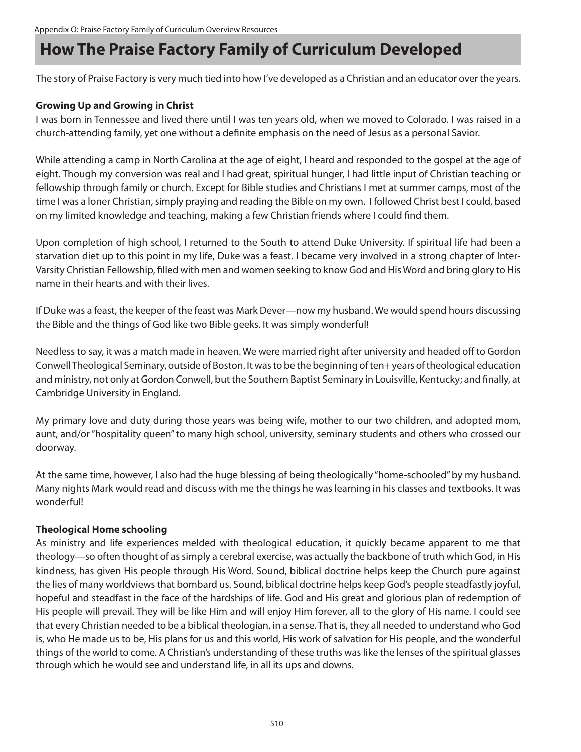# **How The Praise Factory Family of Curriculum Developed**

The story of Praise Factory is very much tied into how I've developed as a Christian and an educator over the years.

#### **Growing Up and Growing in Christ**

I was born in Tennessee and lived there until I was ten years old, when we moved to Colorado. I was raised in a church-attending family, yet one without a definite emphasis on the need of Jesus as a personal Savior.

While attending a camp in North Carolina at the age of eight, I heard and responded to the gospel at the age of eight. Though my conversion was real and I had great, spiritual hunger, I had little input of Christian teaching or fellowship through family or church. Except for Bible studies and Christians I met at summer camps, most of the time I was a loner Christian, simply praying and reading the Bible on my own. I followed Christ best I could, based on my limited knowledge and teaching, making a few Christian friends where I could find them.

Upon completion of high school, I returned to the South to attend Duke University. If spiritual life had been a starvation diet up to this point in my life, Duke was a feast. I became very involved in a strong chapter of Inter-Varsity Christian Fellowship, filled with men and women seeking to know God and His Word and bring glory to His name in their hearts and with their lives.

If Duke was a feast, the keeper of the feast was Mark Dever—now my husband. We would spend hours discussing the Bible and the things of God like two Bible geeks. It was simply wonderful!

Needless to say, it was a match made in heaven. We were married right after university and headed off to Gordon Conwell Theological Seminary, outside of Boston. It was to be the beginning of ten+ years of theological education and ministry, not only at Gordon Conwell, but the Southern Baptist Seminary in Louisville, Kentucky; and finally, at Cambridge University in England.

My primary love and duty during those years was being wife, mother to our two children, and adopted mom, aunt, and/or "hospitality queen" to many high school, university, seminary students and others who crossed our doorway.

At the same time, however, I also had the huge blessing of being theologically "home-schooled" by my husband. Many nights Mark would read and discuss with me the things he was learning in his classes and textbooks. It was wonderful!

#### **Theological Home schooling**

As ministry and life experiences melded with theological education, it quickly became apparent to me that theology—so often thought of as simply a cerebral exercise, was actually the backbone of truth which God, in His kindness, has given His people through His Word. Sound, biblical doctrine helps keep the Church pure against the lies of many worldviews that bombard us. Sound, biblical doctrine helps keep God's people steadfastly joyful, hopeful and steadfast in the face of the hardships of life. God and His great and glorious plan of redemption of His people will prevail. They will be like Him and will enjoy Him forever, all to the glory of His name. I could see that every Christian needed to be a biblical theologian, in a sense. That is, they all needed to understand who God is, who He made us to be, His plans for us and this world, His work of salvation for His people, and the wonderful things of the world to come. A Christian's understanding of these truths was like the lenses of the spiritual glasses through which he would see and understand life, in all its ups and downs.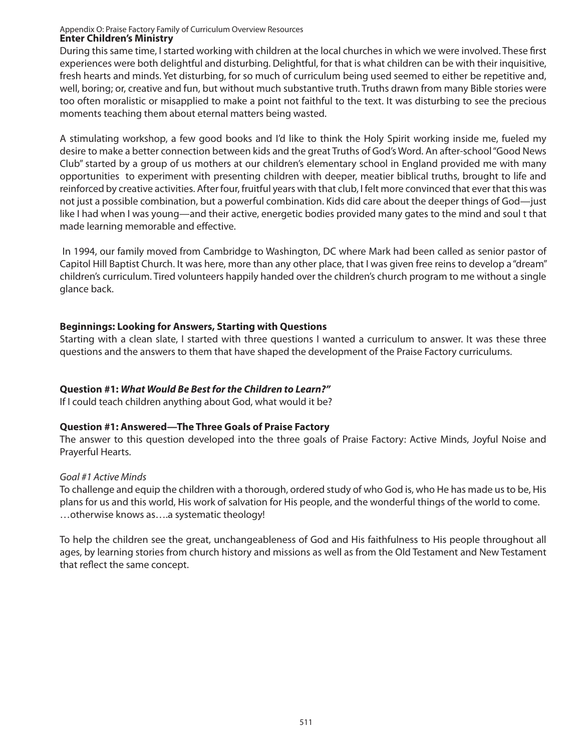#### Appendix O: Praise Factory Family of Curriculum Overview Resources **Enter Children's Ministry**

During this same time, I started working with children at the local churches in which we were involved. These first experiences were both delightful and disturbing. Delightful, for that is what children can be with their inquisitive, fresh hearts and minds. Yet disturbing, for so much of curriculum being used seemed to either be repetitive and, well, boring; or, creative and fun, but without much substantive truth. Truths drawn from many Bible stories were too often moralistic or misapplied to make a point not faithful to the text. It was disturbing to see the precious moments teaching them about eternal matters being wasted.

A stimulating workshop, a few good books and I'd like to think the Holy Spirit working inside me, fueled my desire to make a better connection between kids and the great Truths of God's Word. An after-school "Good News Club" started by a group of us mothers at our children's elementary school in England provided me with many opportunities to experiment with presenting children with deeper, meatier biblical truths, brought to life and reinforced by creative activities. After four, fruitful years with that club, I felt more convinced that ever that this was not just a possible combination, but a powerful combination. Kids did care about the deeper things of God—just like I had when I was young—and their active, energetic bodies provided many gates to the mind and soul t that made learning memorable and effective.

 In 1994, our family moved from Cambridge to Washington, DC where Mark had been called as senior pastor of Capitol Hill Baptist Church. It was here, more than any other place, that I was given free reins to develop a "dream" children's curriculum. Tired volunteers happily handed over the children's church program to me without a single glance back.

#### **Beginnings: Looking for Answers, Starting with Questions**

Starting with a clean slate, I started with three questions I wanted a curriculum to answer. It was these three questions and the answers to them that have shaped the development of the Praise Factory curriculums.

#### **Question #1:** *What Would Be Best for the Children to Learn?"*

If I could teach children anything about God, what would it be?

#### **Question #1: Answered—The Three Goals of Praise Factory**

The answer to this question developed into the three goals of Praise Factory: Active Minds, Joyful Noise and Prayerful Hearts.

#### *Goal #1 Active Minds*

To challenge and equip the children with a thorough, ordered study of who God is, who He has made us to be, His plans for us and this world, His work of salvation for His people, and the wonderful things of the world to come. …otherwise knows as….a systematic theology!

To help the children see the great, unchangeableness of God and His faithfulness to His people throughout all ages, by learning stories from church history and missions as well as from the Old Testament and New Testament that reflect the same concept.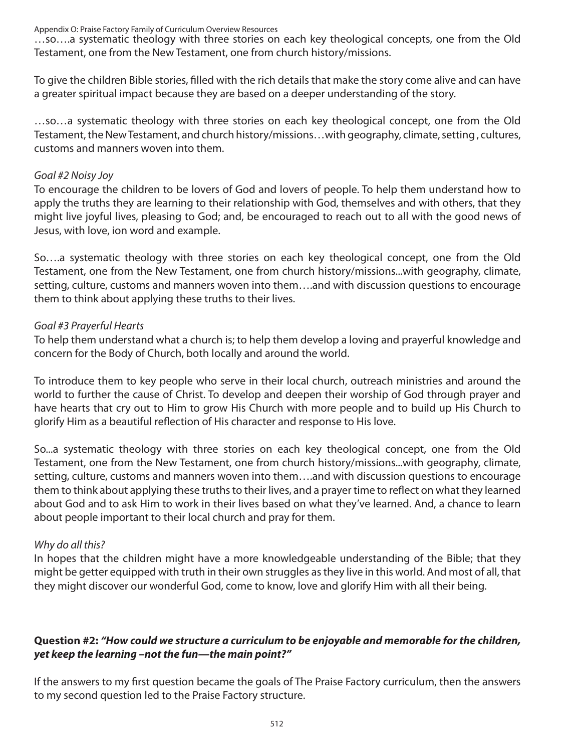Appendix O: Praise Factory Family of Curriculum Overview Resources

…so….a systematic theology with three stories on each key theological concepts, one from the Old Testament, one from the New Testament, one from church history/missions.

To give the children Bible stories, filled with the rich details that make the story come alive and can have a greater spiritual impact because they are based on a deeper understanding of the story.

…so…a systematic theology with three stories on each key theological concept, one from the Old Testament, the New Testament, and church history/missions…with geography, climate, setting , cultures, customs and manners woven into them.

#### *Goal #2 Noisy Joy*

To encourage the children to be lovers of God and lovers of people. To help them understand how to apply the truths they are learning to their relationship with God, themselves and with others, that they might live joyful lives, pleasing to God; and, be encouraged to reach out to all with the good news of Jesus, with love, ion word and example.

So….a systematic theology with three stories on each key theological concept, one from the Old Testament, one from the New Testament, one from church history/missions...with geography, climate, setting, culture, customs and manners woven into them….and with discussion questions to encourage them to think about applying these truths to their lives.

#### *Goal #3 Prayerful Hearts*

To help them understand what a church is; to help them develop a loving and prayerful knowledge and concern for the Body of Church, both locally and around the world.

To introduce them to key people who serve in their local church, outreach ministries and around the world to further the cause of Christ. To develop and deepen their worship of God through prayer and have hearts that cry out to Him to grow His Church with more people and to build up His Church to glorify Him as a beautiful reflection of His character and response to His love.

So...a systematic theology with three stories on each key theological concept, one from the Old Testament, one from the New Testament, one from church history/missions...with geography, climate, setting, culture, customs and manners woven into them….and with discussion questions to encourage them to think about applying these truths to their lives, and a prayer time to reflect on what they learned about God and to ask Him to work in their lives based on what they've learned. And, a chance to learn about people important to their local church and pray for them.

#### *Why do all this?*

In hopes that the children might have a more knowledgeable understanding of the Bible; that they might be getter equipped with truth in their own struggles as they live in this world. And most of all, that they might discover our wonderful God, come to know, love and glorify Him with all their being.

## **Question #2:** *"How could we structure a curriculum to be enjoyable and memorable for the children, yet keep the learning –not the fun—the main point?"*

If the answers to my first question became the goals of The Praise Factory curriculum, then the answers to my second question led to the Praise Factory structure.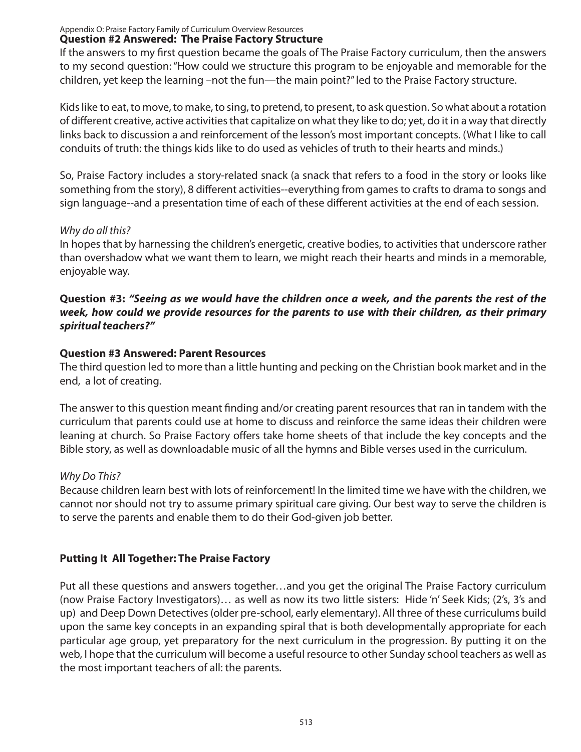Appendix O: Praise Factory Family of Curriculum Overview Resources

## **Question #2 Answered: The Praise Factory Structure**

If the answers to my first question became the goals of The Praise Factory curriculum, then the answers to my second question: "How could we structure this program to be enjoyable and memorable for the children, yet keep the learning –not the fun—the main point?" led to the Praise Factory structure.

Kids like to eat, to move, to make, to sing, to pretend, to present, to ask question. So what about a rotation of different creative, active activities that capitalize on what they like to do; yet, do it in a way that directly links back to discussion a and reinforcement of the lesson's most important concepts. (What I like to call conduits of truth: the things kids like to do used as vehicles of truth to their hearts and minds.)

So, Praise Factory includes a story-related snack (a snack that refers to a food in the story or looks like something from the story), 8 different activities--everything from games to crafts to drama to songs and sign language--and a presentation time of each of these different activities at the end of each session.

## *Why do all this?*

In hopes that by harnessing the children's energetic, creative bodies, to activities that underscore rather than overshadow what we want them to learn, we might reach their hearts and minds in a memorable, enjoyable way.

#### **Question #3:** *"Seeing as we would have the children once a week, and the parents the rest of the week, how could we provide resources for the parents to use with their children, as their primary spiritual teachers?"*

## **Question #3 Answered: Parent Resources**

The third question led to more than a little hunting and pecking on the Christian book market and in the end, a lot of creating.

The answer to this question meant finding and/or creating parent resources that ran in tandem with the curriculum that parents could use at home to discuss and reinforce the same ideas their children were leaning at church. So Praise Factory offers take home sheets of that include the key concepts and the Bible story, as well as downloadable music of all the hymns and Bible verses used in the curriculum.

# *Why Do This?*

Because children learn best with lots of reinforcement! In the limited time we have with the children, we cannot nor should not try to assume primary spiritual care giving. Our best way to serve the children is to serve the parents and enable them to do their God-given job better.

# **Putting It All Together: The Praise Factory**

Put all these questions and answers together…and you get the original The Praise Factory curriculum (now Praise Factory Investigators)… as well as now its two little sisters: Hide 'n' Seek Kids; (2's, 3's and up) and Deep Down Detectives (older pre-school, early elementary). All three of these curriculums build upon the same key concepts in an expanding spiral that is both developmentally appropriate for each particular age group, yet preparatory for the next curriculum in the progression. By putting it on the web, I hope that the curriculum will become a useful resource to other Sunday school teachers as well as the most important teachers of all: the parents.